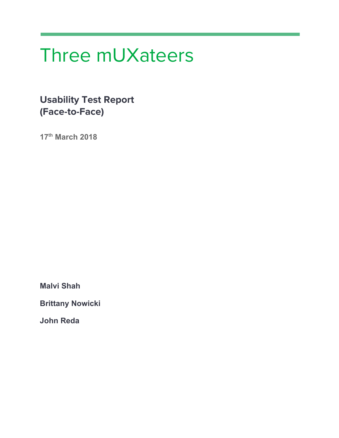# Three mUXateers

**Usability Test Report (Face-to-Face)**

**17 th March 2018**

**Malvi Shah**

**Brittany Nowicki**

**John Reda**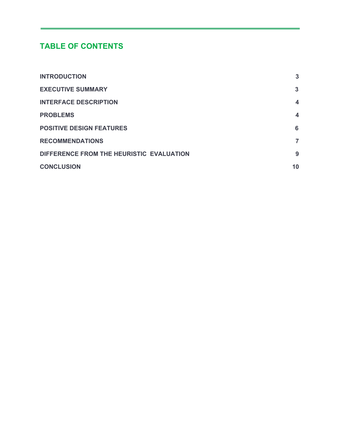## **TABLE OF CONTENTS**

| <b>INTRODUCTION</b>                      | $\mathbf{3}$            |
|------------------------------------------|-------------------------|
| <b>EXECUTIVE SUMMARY</b>                 | 3                       |
| <b>INTERFACE DESCRIPTION</b>             | $\overline{\mathbf{4}}$ |
| <b>PROBLEMS</b>                          | $\boldsymbol{4}$        |
| <b>POSITIVE DESIGN FEATURES</b>          | 6                       |
| <b>RECOMMENDATIONS</b>                   | 7                       |
| DIFFERENCE FROM THE HEURISTIC EVALUATION | 9                       |
| <b>CONCLUSION</b>                        | 10                      |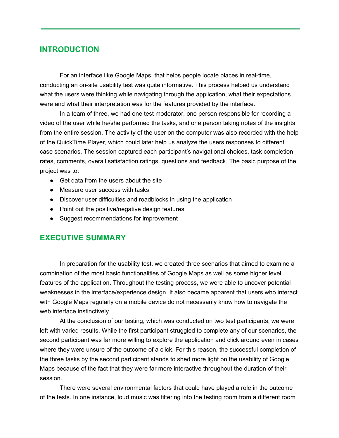#### <span id="page-2-0"></span>**INTRODUCTION**

For an interface like Google Maps, that helps people locate places in real-time, conducting an on-site usability test was quite informative. This process helped us understand what the users were thinking while navigating through the application, what their expectations were and what their interpretation was for the features provided by the interface.

In a team of three, we had one test moderator, one person responsible for recording a video of the user while he/she performed the tasks, and one person taking notes of the insights from the entire session. The activity of the user on the computer was also recorded with the help of the QuickTime Player, which could later help us analyze the users responses to different case scenarios. The session captured each participant's navigational choices, task completion rates, comments, overall satisfaction ratings, questions and feedback. The basic purpose of the project was to:

- Get data from the users about the site
- Measure user success with tasks
- Discover user difficulties and roadblocks in using the application
- Point out the positive/negative design features
- Suggest recommendations for improvement

#### <span id="page-2-1"></span>**EXECUTIVE SUMMARY**

In preparation for the usability test, we created three scenarios that aimed to examine a combination of the most basic functionalities of Google Maps as well as some higher level features of the application. Throughout the testing process, we were able to uncover potential weaknesses in the interface/experience design. It also became apparent that users who interact with Google Maps regularly on a mobile device do not necessarily know how to navigate the web interface instinctively.

At the conclusion of our testing, which was conducted on two test participants, we were left with varied results. While the first participant struggled to complete any of our scenarios, the second participant was far more willing to explore the application and click around even in cases where they were unsure of the outcome of a click. For this reason, the successful completion of the three tasks by the second participant stands to shed more light on the usability of Google Maps because of the fact that they were far more interactive throughout the duration of their session.

There were several environmental factors that could have played a role in the outcome of the tests. In one instance, loud music was filtering into the testing room from a different room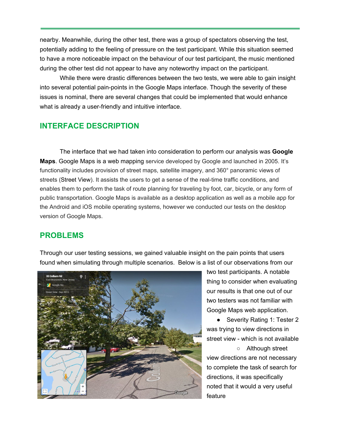nearby. Meanwhile, during the other test, there was a group of spectators observing the test, potentially adding to the feeling of pressure on the test participant. While this situation seemed to have a more noticeable impact on the behaviour of our test participant, the music mentioned during the other test did not appear to have any noteworthy impact on the participant.

While there were drastic differences between the two tests, we were able to gain insight into several potential pain-points in the Google Maps interface. Though the severity of these issues is nominal, there are several changes that could be implemented that would enhance what is already a user-friendly and intuitive interface.

## <span id="page-3-0"></span>**INTERFACE DESCRIPTION**

The interface that we had taken into consideration to perform our analysis was **Google Maps**. Google Maps is a web mapping service developed by Google and launched in 2005. It's functionality includes provision of street maps, satellite imagery, and 360° panoramic views of streets ([Street View\)](https://en.wikipedia.org/wiki/Google_Street_View). It assists the users to get a sense of the real-time traffic conditions, and enables them to perform the task of route planning for traveling by foot, car, bicycle, or any form of public transportation. Google Maps is available as a desktop application as well as a mobile app for the Android and iOS mobile operating systems, however we conducted our tests on the desktop version of Google Maps.

#### <span id="page-3-1"></span>**PROBLEMS**

Through our user testing sessions, we gained valuable insight on the pain points that users found when simulating through multiple scenarios. Below is a list of our observations from our



two test participants. A notable thing to consider when evaluating our results is that one out of our two testers was not familiar with Google Maps web application.

● Severity Rating 1: Tester 2 was trying to view directions in street view - which is not available

○ Although street view directions are not necessary to complete the task of search for directions, it was specifically noted that it would a very useful feature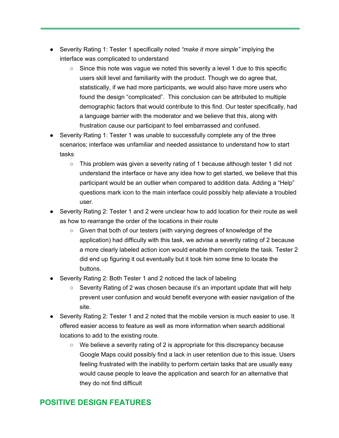- Severity Rating 1: Tester 1 specifically noted *"make it more simple"* implying the interface was complicated to understand
	- $\circ$  Since this note was vague we noted this severity a level 1 due to this specific users skill level and familiarity with the product. Though we do agree that, statistically, if we had more participants, we would also have more users who found the design "complicated". This conclusion can be attributed to multiple demographic factors that would contribute to this find. Our tester specifically, had a language barrier with the moderator and we believe that this, along with frustration cause our participant to feel embarrassed and confused.
- Severity Rating 1: Tester 1 was unable to successfully complete any of the three scenarios; interface was unfamiliar and needed assistance to understand how to start tasks
	- This problem was given a severity rating of 1 because although tester 1 did not understand the interface or have any idea how to get started, we believe that this participant would be an outlier when compared to addition data. Adding a "Help" questions mark icon to the main interface could possibly help alleviate a troubled user.
- Severity Rating 2: Tester 1 and 2 were unclear how to add location for their route as well as how to rearrange the order of the locations in their route
	- Given that both of our testers (with varying degrees of knowledge of the application) had difficulty with this task, we advise a severity rating of 2 because a more clearly labeled action icon would enable them complete the task. Tester 2 did end up figuring it out eventually but it took him some time to locate the buttons.
- Severity Rating 2: Both Tester 1 and 2 noticed the lack of labeling
	- Severity Rating of 2 was chosen because it's an important update that will help prevent user confusion and would benefit everyone with easier navigation of the site.
- Severity Rating 2: Tester 1 and 2 noted that the mobile version is much easier to use. It offered easier access to feature as well as more information when search additional locations to add to the existing route.
	- We believe a severity rating of 2 is appropriate for this discrepancy because Google Maps could possibly find a lack in user retention due to this issue. Users feeling frustrated with the inability to perform certain tasks that are usually easy would cause people to leave the application and search for an alternative that they do not find difficult

## <span id="page-4-0"></span>**POSITIVE DESIGN FEATURES**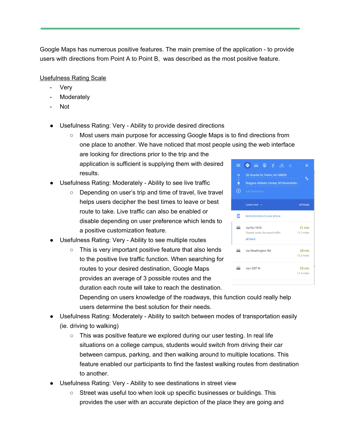Google Maps has numerous positive features. The main premise of the application - to provide users with directions from Point A to Point B, was described as the most positive feature.

Usefulness Rating Scale

- **Very**
- Moderately
- Not
- Usefulness Rating: Very Ability to provide desired directions
	- Most users main purpose for accessing Google Maps is to find directions from one place to another. We have noticed that most people using the web interface are looking for directions prior to the trip and the application is sufficient is supplying them with desired 三◆日田齐命士 results.
- Usefulness Rating: Moderately Ability to see live traffic
	- Depending on user's trip and time of travel, live travel helps users decipher the best times to leave or best route to take. Live traffic can also be enabled or disable depending on user preference which lends to a positive customization feature.
- Usefulness Rating: Very Ability to see multiple routes
	- This is very important positive feature that also lends to the positive live traffic function. When searching for routes to your desired destination, Google Maps provides an average of 3 possible routes and the duration each route will take to reach the destination.



Depending on users knowledge of the roadways, this function could really help users determine the best solution for their needs.

- Usefulness Rating: Moderately Ability to switch between modes of transportation easily (ie. driving to walking)
	- $\circ$  This was positive feature we explored during our user testing. In real life situations on a college campus, students would switch from driving their car between campus, parking, and then walking around to multiple locations. This feature enabled our participants to find the fastest walking routes from destination to another.
- Usefulness Rating: Very Ability to see destinations in street view
	- Street was useful too when look up specific businesses or buildings. This provides the user with an accurate depiction of the place they are going and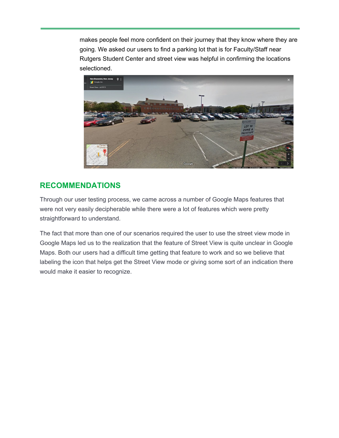makes people feel more confident on their journey that they know where they are going. We asked our users to find a parking lot that is for Faculty/Staff near Rutgers Student Center and street view was helpful in confirming the locations selectioned.



## <span id="page-6-0"></span>**RECOMMENDATIONS**

Through our user testing process, we came across a number of Google Maps features that were not very easily decipherable while there were a lot of features which were pretty straightforward to understand.

The fact that more than one of our scenarios required the user to use the street view mode in Google Maps led us to the realization that the feature of Street View is quite unclear in Google Maps. Both our users had a difficult time getting that feature to work and so we believe that labeling the icon that helps get the Street View mode or giving some sort of an indication there would make it easier to recognize.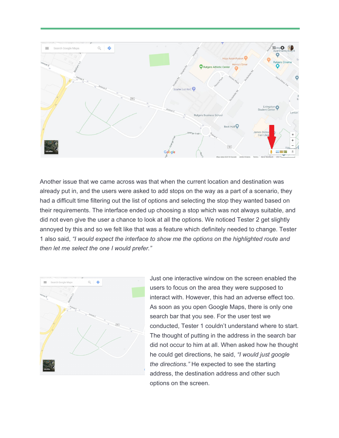

Another issue that we came across was that when the current location and destination was already put in, and the users were asked to add stops on the way as a part of a scenario, they had a difficult time filtering out the list of options and selecting the stop they wanted based on their requirements. The interface ended up choosing a stop which was not always suitable, and did not even give the user a chance to look at all the options. We noticed Tester 2 get slightly annoyed by this and so we felt like that was a feature which definitely needed to change. Tester 1 also said, *"I would expect the interface to show me the options on the highlighted route and then let me select the one I would prefer."*



Just one interactive window on the screen enabled the users to focus on the area they were supposed to interact with. However, this had an adverse effect too. As soon as you open Google Maps, there is only one search bar that you see. For the user test we conducted, Tester 1 couldn't understand where to start. The thought of putting in the address in the search bar did not occur to him at all. When asked how he thought he could get directions, he said, *"I would just google the directions."* He expected to see the starting address, the destination address and other such options on the screen.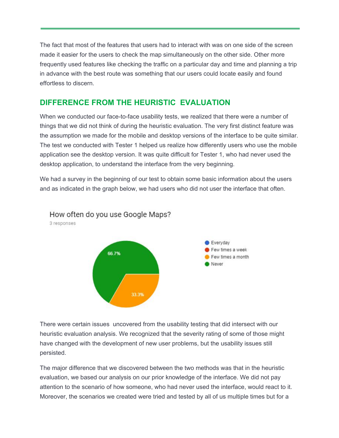The fact that most of the features that users had to interact with was on one side of the screen made it easier for the users to check the map simultaneously on the other side. Other more frequently used features like checking the traffic on a particular day and time and planning a trip in advance with the best route was something that our users could locate easily and found effortless to discern.

### <span id="page-8-0"></span>**DIFFERENCE FROM THE HEURISTIC EVALUATION**

When we conducted our face-to-face usability tests, we realized that there were a number of things that we did not think of during the heuristic evaluation. The very first distinct feature was the assumption we made for the mobile and desktop versions of the interface to be quite similar. The test we conducted with Tester 1 helped us realize how differently users who use the mobile application see the desktop version. It was quite difficult for Tester 1, who had never used the desktop application, to understand the interface from the very beginning.

We had a survey in the beginning of our test to obtain some basic information about the users and as indicated in the graph below, we had users who did not user the interface that often.



There were certain issues uncovered from the usability testing that did intersect with our heuristic evaluation analysis. We recognized that the severity rating of some of those might have changed with the development of new user problems, but the usability issues still persisted.

The major difference that we discovered between the two methods was that in the heuristic evaluation, we based our analysis on our prior knowledge of the interface. We did not pay attention to the scenario of how someone, who had never used the interface, would react to it. Moreover, the scenarios we created were tried and tested by all of us multiple times but for a